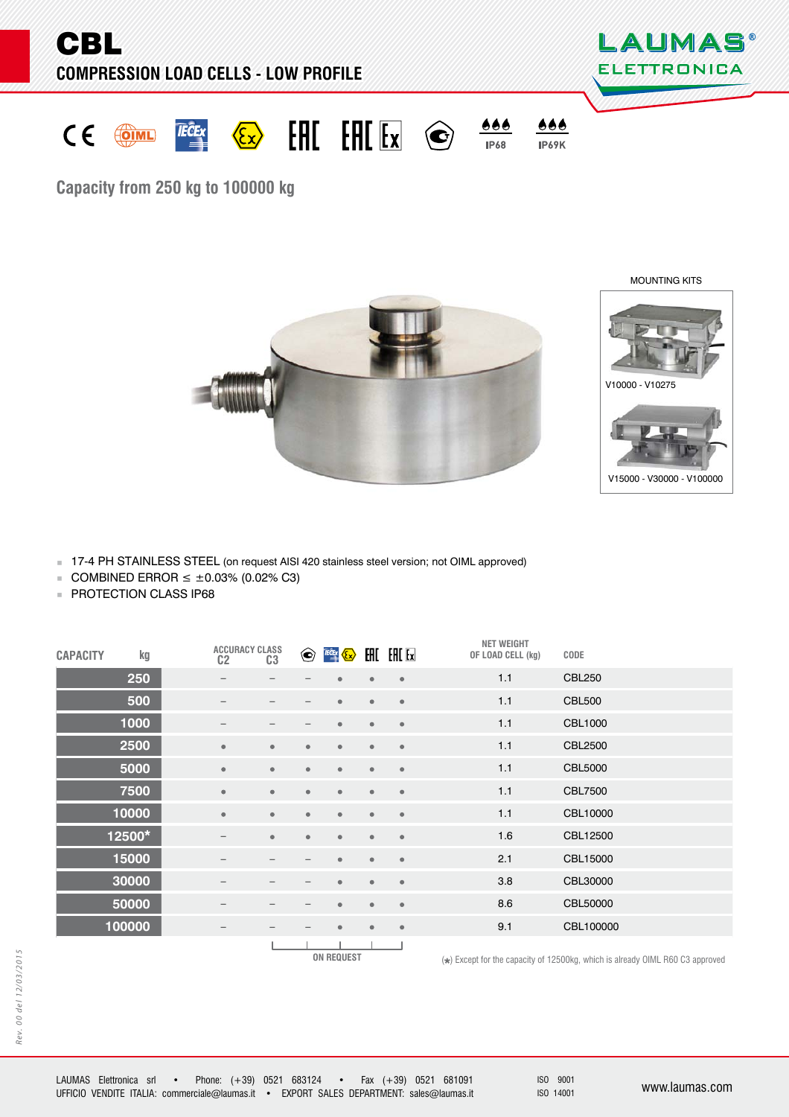

**Capacity from 250 kg to 100000 kg**

MOUNTING KITS





17-4 PH STAINLESS STEEL (on request AISI 420 stainless steel version; not OIML approved)

- COMBINED ERROR  $≤$  ±0.03% (0.02% C3)
- **PROTECTION CLASS IP68**

| <b>CAPACITY</b> | kg     | C <sub>2</sub>           | <b>ACCURACY CLASS</b><br>C <sub>3</sub> |                         | $\bigodot$ FOEX $\bigodot$ |                         |           | <b>NET WEIGHT</b><br>OF LOAD CELL (kg) | CODE           |
|-----------------|--------|--------------------------|-----------------------------------------|-------------------------|----------------------------|-------------------------|-----------|----------------------------------------|----------------|
|                 | 250    |                          |                                         |                         | ٠                          | $\bullet$               | $\bullet$ | 1.1                                    | <b>CBL250</b>  |
|                 | 500    |                          |                                         |                         | $\bullet$                  | $\bullet$               | $\bullet$ | 1.1                                    | <b>CBL500</b>  |
|                 | 1000   | $\overline{\phantom{m}}$ |                                         |                         | $\bullet$                  | $\bullet$               | $\bullet$ | 1.1                                    | CBL1000        |
|                 | 2500   | $\bullet$                | $\bullet$                               | $\bullet$               | $\bullet$                  | $\bullet$               | $\bullet$ | 1.1                                    | <b>CBL2500</b> |
|                 | 5000   | $\bullet$                | $\bullet$                               | $\bullet$               | $\bullet$                  | $\qquad \qquad \bullet$ | $\bullet$ | 1.1                                    | <b>CBL5000</b> |
|                 | 7500   | $\bullet$                | $\bullet$                               | $\qquad \qquad \bullet$ | $\bullet$                  | $\bullet$               | $\bullet$ | 1.1                                    | CBL7500        |
|                 | 10000  | $\bullet$                | $\bullet$                               | $\qquad \qquad \bullet$ | $\bullet$                  | $\bullet$               | $\bullet$ | 1.1                                    | CBL10000       |
|                 | 12500* | $\overline{\phantom{m}}$ | $\bullet$                               | $\bullet$               | $\bullet$                  | $\bullet$               | $\bullet$ | 1.6                                    | CBL12500       |
|                 | 15000  |                          | -                                       |                         | $\qquad \qquad \bullet$    | $\qquad \qquad \bullet$ | $\bullet$ | 2.1                                    | CBL15000       |
|                 | 30000  | $\qquad \qquad -$        | -                                       |                         | $\bullet$                  | $\bullet$               | $\bullet$ | 3.8                                    | CBL30000       |
|                 | 50000  | $\qquad \qquad -$        |                                         |                         | $\bullet$                  | $\bullet$               | $\bullet$ | 8.6                                    | CBL50000       |
|                 | 100000 | $\qquad \qquad -$        | -                                       |                         | $\bullet$                  | $\bullet$               | $\bullet$ | 9.1                                    | CBL100000      |
|                 |        |                          |                                         |                         |                            |                         |           |                                        |                |

**ON REQUEST** 

Rev. 00 del 12/03/2015 Rev. 00 del 12/03/2015

ISO 9001

 $(\star)$  Except for the capacity of 12500kg, which is already OIML R60 C3 approved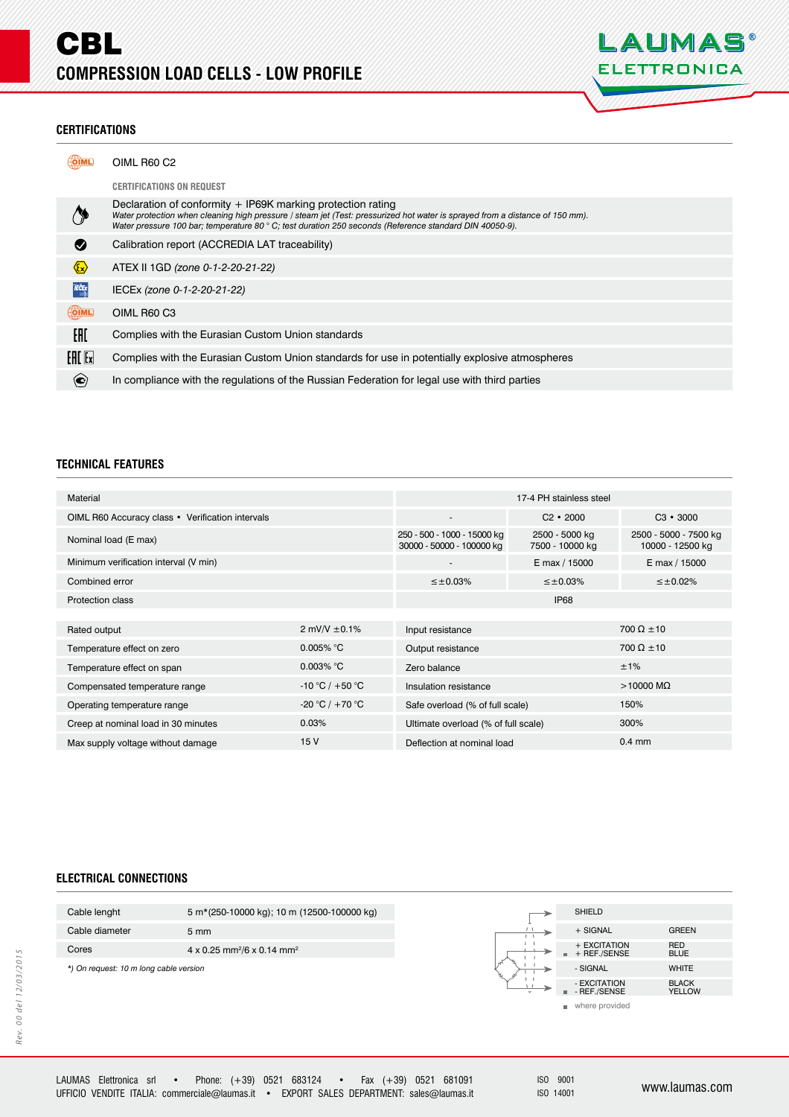

### **CERTIFICATIONS ERTIFICATIONS**

|                              | OIML R60 C2                                                                                                                                                                                                                                                                                            |
|------------------------------|--------------------------------------------------------------------------------------------------------------------------------------------------------------------------------------------------------------------------------------------------------------------------------------------------------|
|                              | <b>CERTIFICATIONS ON REQUEST</b>                                                                                                                                                                                                                                                                       |
|                              | Declaration of conformity + IP69K marking protection rating<br>Water protection when cleaning high pressure / steam jet (Test: pressurized hot water is sprayed from a distance of 150 mm).<br>Water pressure 100 bar; temperature 80 ° C; test duration 250 seconds (Reference standard DIN 40050-9). |
| ◙                            | Calibration report (ACCREDIA LAT traceability)                                                                                                                                                                                                                                                         |
| $\langle \xi_{\chi} \rangle$ | ATEX II 1GD (zone 0-1-2-20-21-22)                                                                                                                                                                                                                                                                      |
| <b>IECEX</b>                 | IECEx (zone 0-1-2-20-21-22)                                                                                                                                                                                                                                                                            |
| <b>OIML</b>                  | OIML R60 C3                                                                                                                                                                                                                                                                                            |
| EAC                          | Complies with the Eurasian Custom Union standards                                                                                                                                                                                                                                                      |
| $F = F$                      | Complies with the Eurasian Custom Union standards for use in potentially explosive atmospheres                                                                                                                                                                                                         |
| $\bf{e}$                     | In compliance with the regulations of the Russian Federation for legal use with third parties                                                                                                                                                                                                          |

# **TECHNICAL FEATURES**

| Material                                         |                                                          |                                     | 17-4 PH stainless steel                   |                     |
|--------------------------------------------------|----------------------------------------------------------|-------------------------------------|-------------------------------------------|---------------------|
| OIML R60 Accuracy class • Verification intervals |                                                          | $\overline{\phantom{a}}$            | $C2 \cdot 2000$                           | $C3 \cdot 3000$     |
| Nominal load (E max)                             | 250 - 500 - 1000 - 15000 kg<br>30000 - 50000 - 100000 kg | 2500 - 5000 kg<br>7500 - 10000 kg   | 2500 - 5000 - 7500 kg<br>10000 - 12500 kg |                     |
| Minimum verification interval (V min)            |                                                          | $\overline{\phantom{a}}$            | E max / 15000                             | E max / 15000       |
| Combined error                                   |                                                          | $\leq \pm 0.03\%$                   | $\leq \pm 0.03\%$                         | $\leq \pm 0.02\%$   |
| Protection class                                 |                                                          |                                     | IP68                                      |                     |
|                                                  |                                                          |                                     |                                           |                     |
| Rated output                                     | 2 mV/V $\pm$ 0.1%                                        | Input resistance                    |                                           | $700 \Omega \pm 10$ |
| Temperature effect on zero                       | $0.005\%$ °C                                             | Output resistance                   | $700 \Omega \pm 10$                       |                     |
| Temperature effect on span                       | $0.003\%$ °C                                             | Zero balance                        |                                           | ±1%                 |
| Compensated temperature range                    | -10 °C / +50 °C                                          | Insulation resistance               |                                           | $>10000$ M $\Omega$ |
| Operating temperature range                      | -20 °C / +70 °C                                          | Safe overload (% of full scale)     |                                           | 150%                |
| 0.03%<br>Creep at nominal load in 30 minutes     |                                                          | Ultimate overload (% of full scale) | 300%                                      |                     |
| 15V<br>Max supply voltage without damage         |                                                          | Deflection at nominal load          | $0.4$ mm                                  |                     |
|                                                  |                                                          |                                     |                                           |                     |

### **ELECTRICAL CONNECTIONS**

| Cable lenght                           | 5 m <sup>*</sup> (250-10000 kg); 10 m (12500-100000 kg) |
|----------------------------------------|---------------------------------------------------------|
| Cable diameter                         | $5 \text{ mm}$                                          |
| Cores                                  | 4 x 0.25 mm <sup>2</sup> /6 x 0.14 mm <sup>2</sup>      |
| *) On request: 10 m long cable version |                                                         |
|                                        |                                                         |
|                                        |                                                         |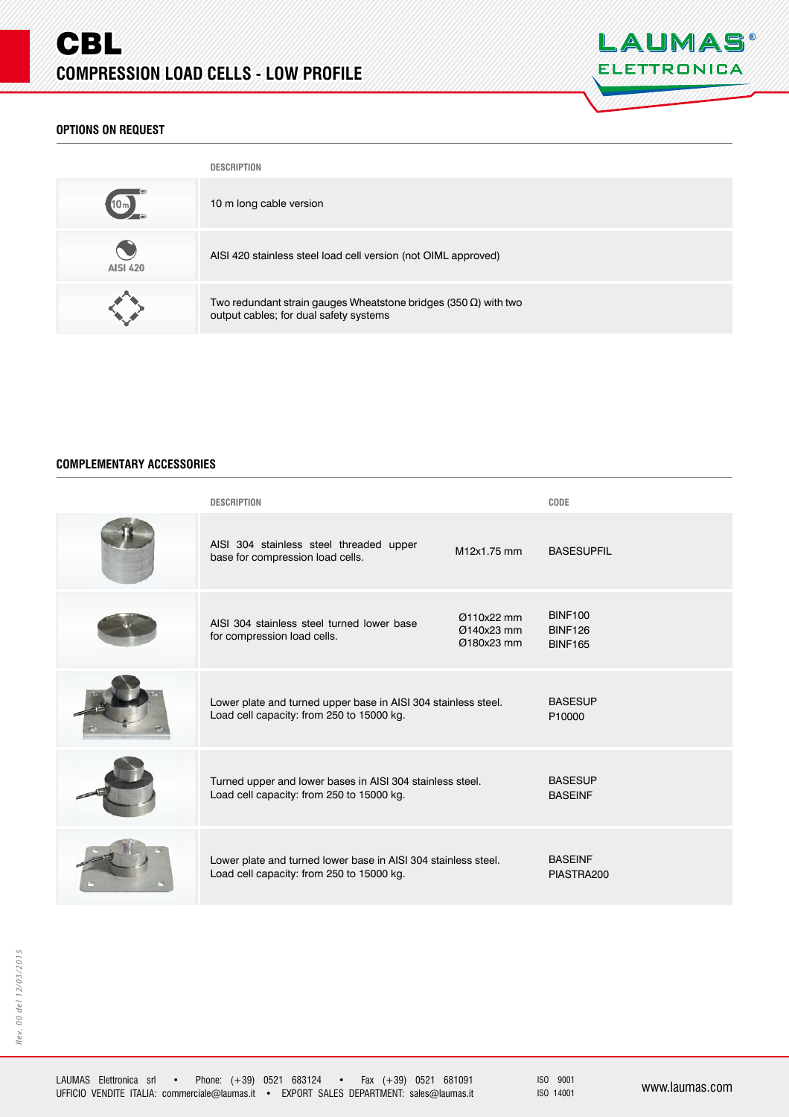

# **OPTIONS ON REQUEST PTIONS ON REQUEST**

|                 | <b>DESCRIPTION</b>                                                                                                |
|-----------------|-------------------------------------------------------------------------------------------------------------------|
|                 | 10 m long cable version                                                                                           |
| <b>AISI 420</b> | AISI 420 stainless steel load cell version (not OIML approved)                                                    |
|                 | Two redundant strain gauges Wheatstone bridges (350 $\Omega$ ) with two<br>output cables; for dual safety systems |

### **COMPLEMENTARY ACCESSORIES OMPLEMENTARY**

| <b>DESCRIPTION</b>                                                                                          |                                        | CODE                                               |
|-------------------------------------------------------------------------------------------------------------|----------------------------------------|----------------------------------------------------|
| AISI 304 stainless steel threaded upper<br>base for compression load cells.                                 | M12x1.75 mm                            | <b>BASESUPFIL</b>                                  |
| AISI 304 stainless steel turned lower base<br>for compression load cells.                                   | Ø110x22 mm<br>Ø140x23 mm<br>Ø180x23 mm | <b>BINF100</b><br><b>BINF126</b><br><b>BINF165</b> |
| Lower plate and turned upper base in AISI 304 stainless steel.<br>Load cell capacity: from 250 to 15000 kg. |                                        | <b>BASESUP</b><br>P10000                           |
| Turned upper and lower bases in AISI 304 stainless steel.<br>Load cell capacity: from 250 to 15000 kg.      |                                        | <b>BASESUP</b><br><b>BASEINF</b>                   |
| Lower plate and turned lower base in AISI 304 stainless steel.<br>Load cell capacity: from 250 to 15000 kg. |                                        | <b>BASEINF</b><br>PIASTRA200                       |

ISO 9001